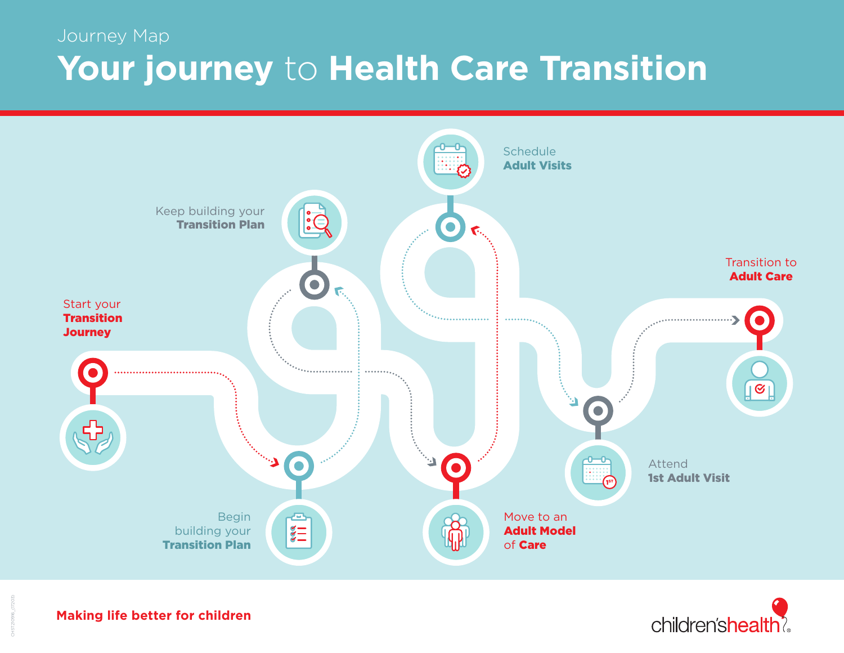## Journey Map **Your journey** to **Health Care Transition**





**Making life better for children**